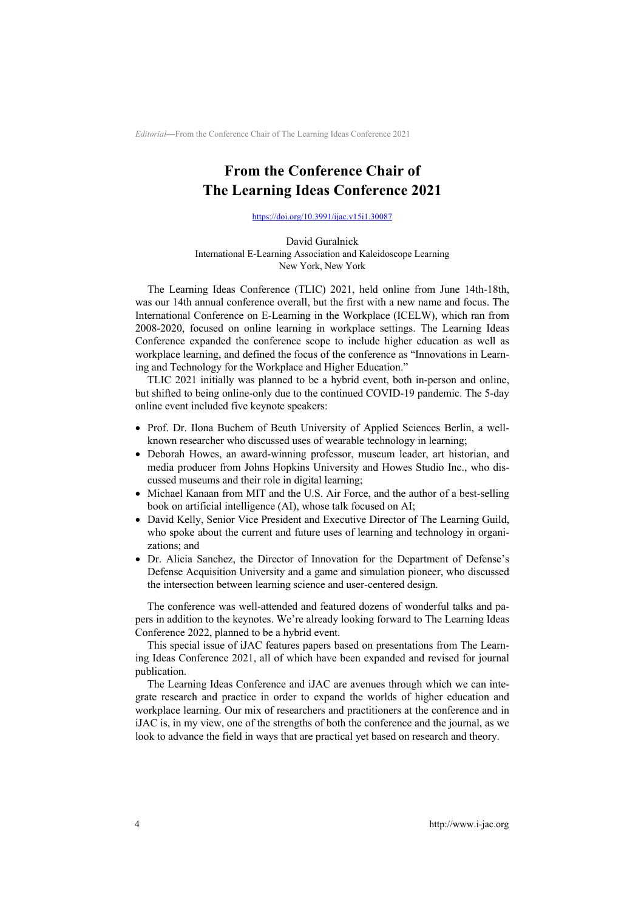*Editorial—*From the Conference Chair of The Learning Ideas Conference 2021

## **From the Conference Chair of The Learning Ideas Conference 2021**

https://doi.org/10.3991/ijac.v15i1.30087

David Guralnick International E-Learning Association and Kaleidoscope Learning New York, New York

The Learning Ideas Conference (TLIC) 2021, held online from June 14th-18th, was our 14th annual conference overall, but the first with a new name and focus. The International Conference on E-Learning in the Workplace (ICELW), which ran from 2008-2020, focused on online learning in workplace settings. The Learning Ideas Conference expanded the conference scope to include higher education as well as workplace learning, and defined the focus of the conference as "Innovations in Learning and Technology for the Workplace and Higher Education."

TLIC 2021 initially was planned to be a hybrid event, both in-person and online, but shifted to being online-only due to the continued COVID-19 pandemic. The 5-day online event included five keynote speakers:

- Prof. Dr. Ilona Buchem of Beuth University of Applied Sciences Berlin, a wellknown researcher who discussed uses of wearable technology in learning;
- Deborah Howes, an award-winning professor, museum leader, art historian, and media producer from Johns Hopkins University and Howes Studio Inc., who discussed museums and their role in digital learning;
- Michael Kanaan from MIT and the U.S. Air Force, and the author of a best-selling book on artificial intelligence (AI), whose talk focused on AI;
- David Kelly, Senior Vice President and Executive Director of The Learning Guild, who spoke about the current and future uses of learning and technology in organizations; and
- Dr. Alicia Sanchez, the Director of Innovation for the Department of Defense's Defense Acquisition University and a game and simulation pioneer, who discussed the intersection between learning science and user-centered design.

The conference was well-attended and featured dozens of wonderful talks and papers in addition to the keynotes. We're already looking forward to The Learning Ideas Conference 2022, planned to be a hybrid event.

This special issue of iJAC features papers based on presentations from The Learning Ideas Conference 2021, all of which have been expanded and revised for journal publication.

The Learning Ideas Conference and iJAC are avenues through which we can integrate research and practice in order to expand the worlds of higher education and workplace learning. Our mix of researchers and practitioners at the conference and in iJAC is, in my view, one of the strengths of both the conference and the journal, as we look to advance the field in ways that are practical yet based on research and theory.